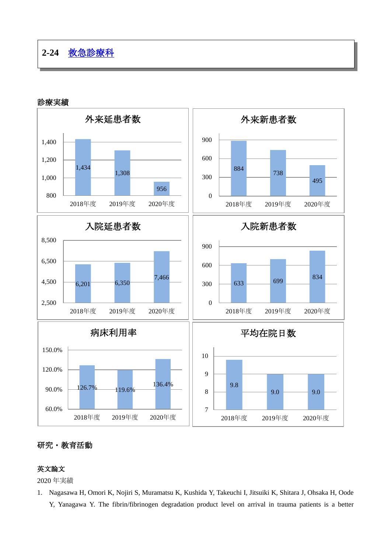



## 研究・教育活動

## 英文論文

2020 年実績

1. Nagasawa H, Omori K, Nojiri S, Muramatsu K, Kushida Y, Takeuchi I, Jitsuiki K, Shitara J, Ohsaka H, Oode Y, Yanagawa Y. The fibrin/fibrinogen degradation product level on arrival in trauma patients is a better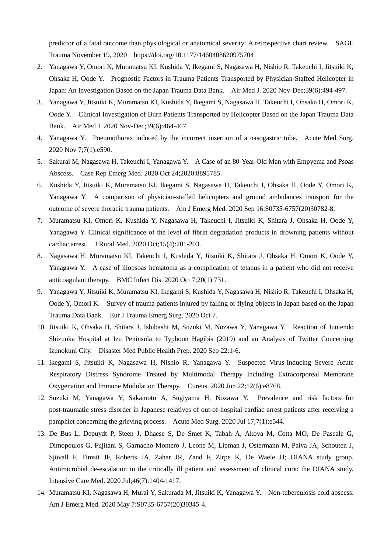predictor of a fatal outcome than physiological or anatomical severity: A retrospective chart review. SAGE Trauma November 19, 2020 https://doi.org/10.1177/1460408620975704

- 2. Yanagawa Y, Omori K, Muramatsu KI, Kushida Y, Ikegami S, Nagasawa H, Nishio R, Takeuchi I, Jitsuiki K, Ohsaka H, Oode Y. Prognostic Factors in Trauma Patients Transported by Physician-Staffed Helicopter in Japan: An Investigation Based on the Japan Trauma Data Bank. Air Med J. 2020 Nov-Dec;39(6):494-497.
- 3. Yanagawa Y, Jitsuiki K, Muramatsu KI, Kushida Y, Ikegami S, Nagasawa H, Takeuchi I, Ohsaka H, Omori K, Oode Y. Clinical Investigation of Burn Patients Transported by Helicopter Based on the Japan Trauma Data Bank. Air Med J. 2020 Nov-Dec;39(6):464-467.
- 4. Yanagawa Y. Pneumothorax induced by the incorrect insertion of a nasogastric tube. Acute Med Surg. 2020 Nov 7;7(1):e590.
- 5. Sakurai M, Nagasawa H, Takeuchi I, Yanagawa Y. A Case of an 80-Year-Old Man with Empyema and Psoas Abscess. Case Rep Emerg Med. 2020 Oct 24;2020:8895785.
- 6. Kushida Y, Jitsuiki K, Muramatsu KI, Ikegami S, Nagasawa H, Takeuchi I, Ohsaka H, Oode Y, Omori K, Yanagawa Y. A comparison of physician-staffed helicopters and ground ambulances transport for the outcome of severe thoracic trauma patients. Am J Emerg Med. 2020 Sep 16:S0735-6757(20)30782-8.
- 7. Muramatsu KI, Omori K, Kushida Y, Nagasawa H, Takeuchi I, Jitsuiki K, Shitara J, Ohsaka H, Oode Y, Yanagawa Y. Clinical significance of the level of fibrin degradation products in drowning patients without cardiac arrest. J Rural Med. 2020 Oct;15(4):201-203.
- 8. Nagasawa H, Muramatsu KI, Takeuchi I, Kushida Y, Jitsuiki K, Shitara J, Ohsaka H, Omori K, Oode Y, Yanagawa Y. A case of iliopsoas hematoma as a complication of tetanus in a patient who did not receive anticoagulant therapy. BMC Infect Dis. 2020 Oct 7;20(1):731.
- 9. Yanagawa Y, Jitsuiki K, Muramatsu KI, Ikegami S, Kushida Y, Nagasawa H, Nishio R, Takeuchi I, Ohsaka H, Oode Y, Omori K. Survey of trauma patients injured by falling or flying objects in Japan based on the Japan Trauma Data Bank. Eur J Trauma Emerg Surg. 2020 Oct 7.
- 10. Jitsuiki K, Ohsaka H, Shitara J, Ishibashi M, Suzuki M, Nozawa Y, Yanagawa Y. Reaction of Juntendo Shizuoka Hospital at Izu Peninsula to Typhoon Hagibis (2019) and an Analysis of Twitter Concerning Izunokuni City. Disaster Med Public Health Prep. 2020 Sep 22:1-6.
- 11. Ikegami S, Jitsuiki K, Nagasawa H, Nishio R, Yanagawa Y. Suspected Virus-Inducing Severe Acute Respiratory Distress Syndrome Treated by Multimodal Therapy Including Extracorporeal Membrane Oxygenation and Immune Modulation Therapy. Cureus. 2020 Jun 22;12(6):e8768.
- 12. Suzuki M, Yanagawa Y, Sakamoto A, Sugiyama H, Nozawa Y. Prevalence and risk factors for post-traumatic stress disorder in Japanese relatives of out-of-hospital cardiac arrest patients after receiving a pamphlet concerning the grieving process. Acute Med Surg. 2020 Jul 17;7(1):e544.
- 13. De Bus L, Depuydt P, Steen J, Dhaese S, De Smet K, Tabah A, Akova M, Cotta MO, De Pascale G, Dimopoulos G, Fujitani S, Garnacho-Montero J, Leone M, Lipman J, Ostermann M, Paiva JA, Schouten J, Sjövall F, Timsit JF, Roberts JA, Zahar JR, Zand F, Zirpe K, De Waele JJ; DIANA study group. Antimicrobial de-escalation in the critically ill patient and assessment of clinical cure: the DIANA study. Intensive Care Med. 2020 Jul;46(7):1404-1417.
- 14. Muramatsu KI, Nagasawa H, Murai Y, Sakurada M, Jitsuiki K, Yanagawa Y. Non-tuberculosis cold abscess. Am J Emerg Med. 2020 May 7:S0735-6757(20)30345-4.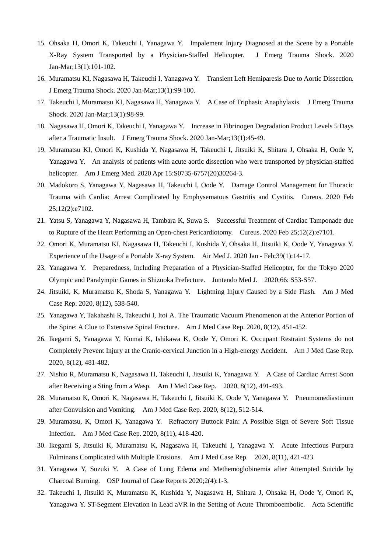- 15. Ohsaka H, Omori K, Takeuchi I, Yanagawa Y. Impalement Injury Diagnosed at the Scene by a Portable X-Ray System Transported by a Physician-Staffed Helicopter. J Emerg Trauma Shock. 2020 Jan-Mar;13(1):101-102.
- 16. Muramatsu KI, Nagasawa H, Takeuchi I, Yanagawa Y. Transient Left Hemiparesis Due to Aortic Dissection. J Emerg Trauma Shock. 2020 Jan-Mar;13(1):99-100.
- 17. Takeuchi I, Muramatsu KI, Nagasawa H, Yanagawa Y. A Case of Triphasic Anaphylaxis. J Emerg Trauma Shock. 2020 Jan-Mar;13(1):98-99.
- 18. Nagasawa H, Omori K, Takeuchi I, Yanagawa Y. Increase in Fibrinogen Degradation Product Levels 5 Days after a Traumatic Insult. J Emerg Trauma Shock. 2020 Jan-Mar;13(1):45-49.
- 19. Muramatsu KI, Omori K, Kushida Y, Nagasawa H, Takeuchi I, Jitsuiki K, Shitara J, Ohsaka H, Oode Y, Yanagawa Y. An analysis of patients with acute aortic dissection who were transported by physician-staffed helicopter. Am J Emerg Med. 2020 Apr 15:S0735-6757(20)30264-3.
- 20. Madokoro S, Yanagawa Y, Nagasawa H, Takeuchi I, Oode Y. Damage Control Management for Thoracic Trauma with Cardiac Arrest Complicated by Emphysematous Gastritis and Cystitis. Cureus. 2020 Feb 25;12(2):e7102.
- 21. Yatsu S, Yanagawa Y, Nagasawa H, Tambara K, Suwa S. Successful Treatment of Cardiac Tamponade due to Rupture of the Heart Performing an Open-chest Pericardiotomy. Cureus. 2020 Feb 25;12(2):e7101.
- 22. Omori K, Muramatsu KI, Nagasawa H, Takeuchi I, Kushida Y, Ohsaka H, Jitsuiki K, Oode Y, Yanagawa Y. Experience of the Usage of a Portable X-ray System. Air Med J. 2020 Jan - Feb;39(1):14-17.
- 23. Yanagawa Y. Preparedness, Including Preparation of a Physician-Staffed Helicopter, for the Tokyo 2020 Olympic and Paralympic Games in Shizuoka Prefecture. Juntendo Med J. 2020;66: S53-S57.
- 24. Jitsuiki, K, Muramatsu K, Shoda S, Yanagawa Y. Lightning Injury Caused by a Side Flash. Am J Med Case Rep. 2020, 8(12), 538-540.
- 25. Yanagawa Y, Takahashi R, Takeuchi I, Itoi A. The Traumatic Vacuum Phenomenon at the Anterior Portion of the Spine: A Clue to Extensive Spinal Fracture. Am J Med Case Rep. 2020, 8(12), 451-452.
- 26. Ikegami S, Yanagawa Y, Komai K, Ishikawa K, Oode Y, Omori K. Occupant Restraint Systems do not Completely Prevent Injury at the Cranio-cervical Junction in a High-energy Accident. Am J Med Case Rep. 2020, 8(12), 481-482.
- 27. Nishio R, Muramatsu K, Nagasawa H, Takeuchi I, Jitsuiki K, Yanagawa Y. A Case of Cardiac Arrest Soon after Receiving a Sting from a Wasp. Am J Med Case Rep. 2020, 8(12), 491-493.
- 28. Muramatsu K, Omori K, Nagasawa H, Takeuchi I, Jitsuiki K, Oode Y, Yanagawa Y. Pneumomediastinum after Convulsion and Vomiting. Am J Med Case Rep. 2020, 8(12), 512-514.
- 29. Muramatsu, K, Omori K, Yanagawa Y. Refractory Buttock Pain: A Possible Sign of Severe Soft Tissue Infection. Am J Med Case Rep. 2020, 8(11), 418-420.
- 30. Ikegami S, Jitsuiki K, Muramatsu K, Nagasawa H, Takeuchi I, Yanagawa Y. Acute Infectious Purpura Fulminans Complicated with Multiple Erosions. Am J Med Case Rep. 2020, 8(11), 421-423.
- 31. Yanagawa Y, Suzuki Y. A Case of Lung Edema and Methemoglobinemia after Attempted Suicide by Charcoal Burning. OSP Journal of Case Reports 2020;2(4):1-3.
- 32. Takeuchi I, Jitsuiki K, Muramatsu K, Kushida Y, Nagasawa H, Shitara J, Ohsaka H, Oode Y, Omori K, Yanagawa Y. ST-Segment Elevation in Lead aVR in the Setting of Acute Thromboembolic. Acta Scientific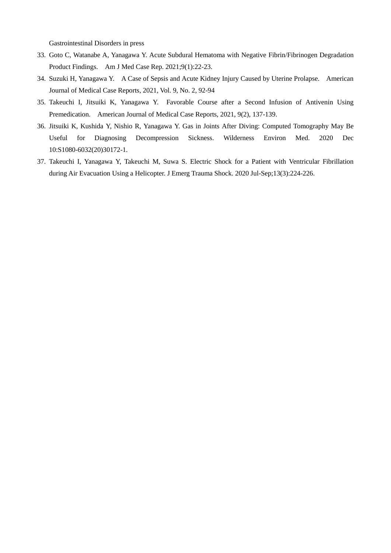Gastrointestinal Disorders in press

- 33. Goto C, Watanabe A, Yanagawa Y. Acute Subdural Hematoma with Negative Fibrin/Fibrinogen Degradation Product Findings. Am J Med Case Rep. 2021;9(1):22-23.
- 34. Suzuki H, Yanagawa Y. A Case of Sepsis and Acute Kidney Injury Caused by Uterine Prolapse. American Journal of Medical Case Reports, 2021, Vol. 9, No. 2, 92-94
- 35. Takeuchi I, Jitsuiki K, Yanagawa Y. Favorable Course after a Second Infusion of Antivenin Using Premedication. American Journal of Medical Case Reports, 2021, 9(2), 137-139.
- 36. Jitsuiki K, Kushida Y, Nishio R, Yanagawa Y. Gas in Joints After Diving: Computed Tomography May Be Useful for Diagnosing Decompression Sickness. Wilderness Environ Med. 2020 Dec 10:S1080-6032(20)30172-1.
- 37. Takeuchi I, Yanagawa Y, Takeuchi M, Suwa S. Electric Shock for a Patient with Ventricular Fibrillation during Air Evacuation Using a Helicopter. J Emerg Trauma Shock. 2020 Jul-Sep;13(3):224-226.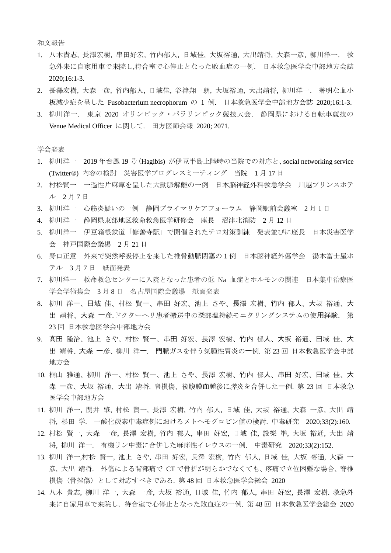和文報告

- 1. 八木貴志, 長澤宏樹, 串田好宏, 竹内郁人, 日域佳, 大坂裕通, 大出靖将, 大森一彦, 柳川洋一. 救 急外来に自家用車で来院し,待合室で心停止となった敗血症の一例. 日本救急医学会中部地方会誌 2020;16:1-3.
- 2. 長澤宏樹, 大森一彦, 竹内郁人, 日域佳, 谷津翔一朗, 大坂裕通, 大出靖将, 柳川洋一. 著明な血小 板減尐症を呈した Fusobacterium necrophorum の 1 例. 日本救急医学会中部地方会誌 2020;16:1-3.
- 3. 柳川洋一. 東京 2020 オリンピック・パラリンピック競技大会. 静岡県における自転車競技の Venue Medical Officer に関して. 田方医師会報 2020; 2071.

学会発表

- 1. 柳川洋一 2019 年台風 19 号(Hagibis) が伊豆半島上陸時の当院での対応と、social networking service (Twitter®) 内容の検討 災害医学プログレスミーティング 当院 1 月 17 日
- 2. 村松賢一 一過性片麻痺を呈した大動脈解離の一例 日本脳神経外科救急学会 川越プリンスホテ ル 2 月 7 日
- 3. 柳川洋一 心筋炎疑いの一例 静岡プライマリケアフォーラム 静岡駅前会議室 2 月 1 日
- 4. 柳川洋一 静岡県東部地区救命救急医学研修会 座長 沼津北消防 2 月 12 日
- 5. 柳川洋一 伊豆箱根鉄道「修善寺駅」で開催されたテロ対策訓練 発表並びに座長 日本災害医学 会 神戸国際会議場 2 月 21 日
- 6. 野口正意 外来で突然呼吸停止を来した椎骨動脈閉塞の1例 日本脳神経外傷学会 湯本富士屋ホ テル 3月7日 紙面発表
- 7. 柳川洋一 救命救急センターに入院となった患者の低 Na 血症とホルモンの関連 日本集中治療医 学会学術集会 3 月 8 日 名古屋国際会議場 紙面発表
- 8. 柳川 洋一、日域 佳、村松 賢一、串田 好宏、池上 さや、長澤 宏樹、竹内 郁人、大坂 裕通、大 出 靖将、大森 一彦.ドクターヘリ患者搬送中の深部温持続モニタリングシステムの使用経験. 第 23 回 日本救急医学会中部地方会
- 9. 髙田 隆治、池上 さや、村松 賢一、串田 好宏、長澤 宏樹、竹内 郁人、大坂 裕通、日域 佳、大 出 靖将、大森 一彦、柳川 洋一. 門脈ガスを伴う気腫性胃炎の一例. 第 23 回 日本救急医学会中部 地方会
- 10. 桐山 雅通、柳川 洋一、村松 賢一、池上 さや、長澤 宏樹、竹内 郁人、串田 好宏、日域 佳、大 森 一彦、大坂 裕通、大出 靖将. 腎損傷、後腹膜血腫後に膵炎を合併した一例. 第 23 回 日本救急 医学会中部地方会
- 11. 柳川 洋一, 関井 肇, 村松 賢一, 長澤 宏樹, 竹内 郁人, 日域 佳, 大坂 裕通, 大森 一彦, 大出 靖 将, 杉田 学. 一酸化炭素中毒症例におけるメトヘモグロビン値の検討. 中毒研究 2020;33(2):160.
- 12. 村松 賢一, 大森 一彦, 長澤 宏樹, 竹内 郁人, 串田 好宏, 日域 佳, 設樂 準, 大坂 裕通, 大出 靖 将, 柳川 洋一. 有機リン中毒に合併した麻痺性イレウスの一例. 中毒研究 2020;33(2):152.
- 13. 柳川 洋一,村松 賢一, 池上 さや, 串田 好宏, 長澤 宏樹, 竹内 郁人, 日域 佳, 大坂 裕通, 大森 一 彦, 大出 靖将. 外傷による背部痛で CT で骨折が明らかでなくても、疼痛で立位困難な場合、脊椎 損傷(骨挫傷)として対応すべきである. 第 48 回 日本救急医学会総会 2020
- 14. 八木 貴志, 柳川 洋一, 大森 一彦, 大坂 裕通, 日域 佳, 竹内 郁人, 串田 好宏, 長澤 宏樹. 救急外 来に自家用車で来院し,待合室で心停止となった敗血症の一例. 第 48 回 日本救急医学会総会 2020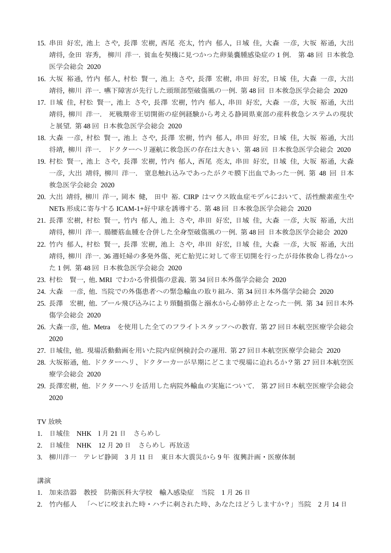- 15. 串田 好宏, 池上 さや, 長澤 宏樹, 西尾 亮太, 竹内 郁人, 日域 佳, 大森 一彦, 大坂 裕通, 大出 靖将, 金田 容秀, 柳川 洋一. 貧血を契機に見つかった卵巣嚢腫感染症の 1 例. 第 48 回 日本救急 医学会総会 2020
- 16. 大坂 裕通, 竹内 郁人, 村松 賢一, 池上 さや, 長澤 宏樹, 串田 好宏, 日域 佳, 大森 一彦, 大出 靖将, 柳川 洋一. 嚥下障害が先行した頭頸部型破傷風の一例. 第 48 回 日本救急医学会総会 2020
- 17. 日域 佳, 村松 賢一, 池上 さや, 長澤 宏樹, 竹内 郁人, 串田 好宏, 大森 一彦, 大坂 裕通, 大出 靖将, 柳川 洋一. 死戦期帝王切開術の症例経験から考える静岡県東部の産科救急システムの現状 と展望. 第 48 回 日本救急医学会総会 2020
- 18. 大森 一彦, 村松 賢一, 池上 さや, 長澤 宏樹, 竹内 郁人, 串田 好宏, 日域 佳, 大坂 裕通, 大出 将靖, 柳川 洋一. ドクターヘリ運航に救急医の存在は大きい. 第 48 回 日本救急医学会総会 2020
- 19. 村松 賢一, 池上 さや, 長澤 宏樹, 竹内 郁人, 西尾 亮太, 串田 好宏, 日域 佳, 大坂 裕通, 大森 一彦, 大出 靖将, 柳川 洋一. 窒息触れ込みであったがクモ膜下出血であった一例. 第 48 回 日本 救急医学会総会 2020
- 20. 大出 靖将, 柳川 洋一, 岡本 健, 田中 裕. CIRP はマウス敗血症モデルにおいて、活性酸素産生や NETs 形成に寄与する ICAM-1+好中球を誘導する. 第 48 回 日本救急医学会総会 2020
- 21. 長澤 宏樹, 村松 賢一, 竹内 郁人, 池上 さや, 串田 好宏, 日域 佳, 大森 一彦, 大坂 裕通, 大出 靖将, 柳川 洋一. 腸腰筋血腫を合併した全身型破傷風の一例. 第 48 回 日本救急医学会総会 2020
- 22. 竹内 郁人, 村松 賢一, 長澤 宏樹, 池上 さや, 串田 好宏, 日域 佳, 大森 一彦, 大坂 裕通, 大出 靖将, 柳川 洋一. 36 週妊婦の多発外傷、死亡胎児に対して帝王切開を行ったが母体救命し得なかっ た 1 例. 第 48 回 日本救急医学会総会 2020
- 23. 村松 賢一, 他. MRI でわかる骨損傷の意義. 第 34 回日本外傷学会総会 2020
- 24. 大森 一彦, 他. 当院での外傷患者への緊急輸血の取り組み. 第 34 回日本外傷学会総会 2020
- 25. 長澤 宏樹, 他. プール飛び込みにより頸髄損傷と溺水から心肺停止となった一例. 第 34 回日本外 傷学会総会 2020
- 26. 大森一彦, 他. Metra を使用した全てのフライトスタッフへの教育. 第 27 回日本航空医療学会総会 2020
- 27. 日域佳, 他. 現場活動動画を用いた院内症例検討会の運用. 第 27 回日本航空医療学会総会 2020
- 28. 大坂裕通, 他. ドクターヘリ、ドクターカーが早期にどこまで現場に迫れるか?第 27 回日本航空医 療学会総会 2020
- 29. 長澤宏樹, 他. ドクターヘリを活用した病院外輸血の実施について. 第 27 回日本航空医療学会総会 2020

TV 放映

- 1. 日域佳 NHK 1月21日 さらめし
- 2. 日域佳 NHK 12 月 20 日 さらめし 再放送
- 3. 柳川洋一 テレビ静岡 3 月 11 日 東日本大震災から 9 年 復興計画・医療体制

講演

- 1. 加来浩器 教授 防衛医科大学校 輸入感染症 当院 1 月 26 日
- 2. 竹内郁人 「へビに咬まれた時・ハチに刺された時、あなたはどうしますか?」当院 2月14日